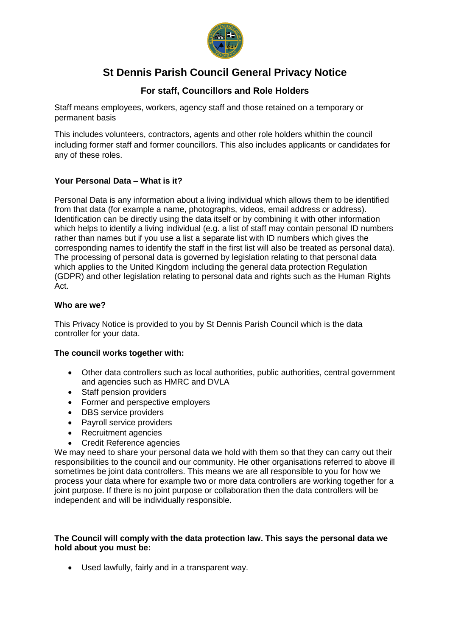

# **St Dennis Parish Council General Privacy Notice**

## **For staff, Councillors and Role Holders**

Staff means employees, workers, agency staff and those retained on a temporary or permanent basis

This includes volunteers, contractors, agents and other role holders whithin the council including former staff and former councillors. This also includes applicants or candidates for any of these roles.

## **Your Personal Data – What is it?**

Personal Data is any information about a living individual which allows them to be identified from that data (for example a name, photographs, videos, email address or address). Identification can be directly using the data itself or by combining it with other information which helps to identify a living individual (e.g. a list of staff may contain personal ID numbers rather than names but if you use a list a separate list with ID numbers which gives the corresponding names to identify the staff in the first list will also be treated as personal data). The processing of personal data is governed by legislation relating to that personal data which applies to the United Kingdom including the general data protection Regulation (GDPR) and other legislation relating to personal data and rights such as the Human Rights Act.

## **Who are we?**

This Privacy Notice is provided to you by St Dennis Parish Council which is the data controller for your data.

## **The council works together with:**

- Other data controllers such as local authorities, public authorities, central government and agencies such as HMRC and DVLA
- Staff pension providers
- Former and perspective employers
- DBS service providers
- Payroll service providers
- Recruitment agencies
- Credit Reference agencies

We may need to share your personal data we hold with them so that they can carry out their responsibilities to the council and our community. He other organisations referred to above ill sometimes be joint data controllers. This means we are all responsible to you for how we process your data where for example two or more data controllers are working together for a joint purpose. If there is no joint purpose or collaboration then the data controllers will be independent and will be individually responsible.

## **The Council will comply with the data protection law. This says the personal data we hold about you must be:**

• Used lawfully, fairly and in a transparent way.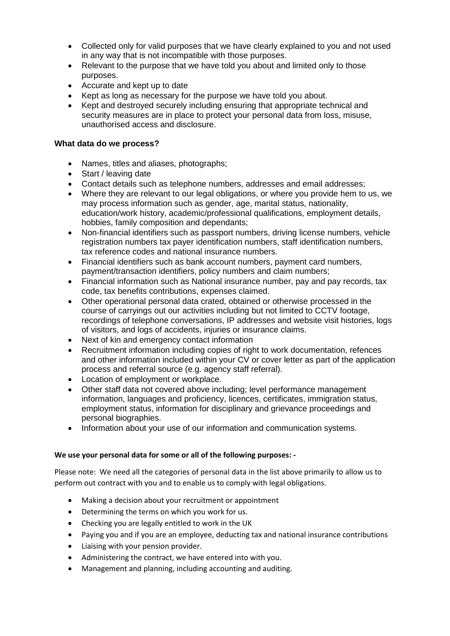- Collected only for valid purposes that we have clearly explained to you and not used in any way that is not incompatible with those purposes.
- Relevant to the purpose that we have told you about and limited only to those purposes.
- Accurate and kept up to date
- Kept as long as necessary for the purpose we have told you about.
- Kept and destroyed securely including ensuring that appropriate technical and security measures are in place to protect your personal data from loss, misuse, unauthorised access and disclosure.

#### **What data do we process?**

- Names, titles and aliases, photographs;
- Start / leaving date
- Contact details such as telephone numbers, addresses and email addresses;
- Where they are relevant to our legal obligations, or where you provide hem to us, we may process information such as gender, age, marital status, nationality, education/work history, academic/professional qualifications, employment details, hobbies, family composition and dependants;
- Non-financial identifiers such as passport numbers, driving license numbers, vehicle registration numbers tax payer identification numbers, staff identification numbers, tax reference codes and national insurance numbers.
- Financial identifiers such as bank account numbers, payment card numbers, payment/transaction identifiers, policy numbers and claim numbers;
- Financial information such as National insurance number, pay and pay records, tax code, tax benefits contributions, expenses claimed.
- Other operational personal data crated, obtained or otherwise processed in the course of carryings out our activities including but not limited to CCTV footage, recordings of telephone conversations, IP addresses and website visit histories, logs of visitors, and logs of accidents, injuries or insurance claims.
- Next of kin and emergency contact information
- Recruitment information including copies of right to work documentation, refences and other information included within your CV or cover letter as part of the application process and referral source (e.g. agency staff referral).
- Location of employment or workplace.
- Other staff data not covered above including; level performance management information, languages and proficiency, licences, certificates, immigration status, employment status, information for disciplinary and grievance proceedings and personal biographies.
- Information about your use of our information and communication systems.

## **We use your personal data for some or all of the following purposes: -**

Please note: We need all the categories of personal data in the list above primarily to allow us to perform out contract with you and to enable us to comply with legal obligations.

- Making a decision about your recruitment or appointment
- Determining the terms on which you work for us.
- Checking you are legally entitled to work in the UK
- Paying you and if you are an employee, deducting tax and national insurance contributions
- Liaising with your pension provider.
- Administering the contract, we have entered into with you.
- Management and planning, including accounting and auditing.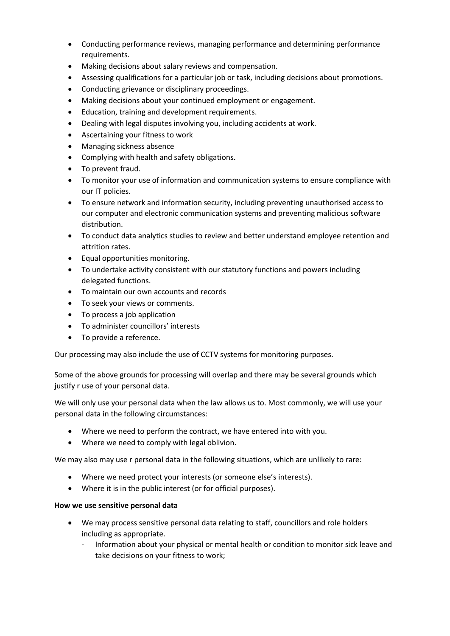- Conducting performance reviews, managing performance and determining performance requirements.
- Making decisions about salary reviews and compensation.
- Assessing qualifications for a particular job or task, including decisions about promotions.
- Conducting grievance or disciplinary proceedings.
- Making decisions about your continued employment or engagement.
- Education, training and development requirements.
- Dealing with legal disputes involving you, including accidents at work.
- Ascertaining your fitness to work
- Managing sickness absence
- Complying with health and safety obligations.
- To prevent fraud.
- To monitor your use of information and communication systems to ensure compliance with our IT policies.
- To ensure network and information security, including preventing unauthorised access to our computer and electronic communication systems and preventing malicious software distribution.
- To conduct data analytics studies to review and better understand employee retention and attrition rates.
- Equal opportunities monitoring.
- To undertake activity consistent with our statutory functions and powers including delegated functions.
- To maintain our own accounts and records
- To seek your views or comments.
- To process a job application
- To administer councillors' interests
- To provide a reference.

Our processing may also include the use of CCTV systems for monitoring purposes.

Some of the above grounds for processing will overlap and there may be several grounds which justify r use of your personal data.

We will only use your personal data when the law allows us to. Most commonly, we will use your personal data in the following circumstances:

- Where we need to perform the contract, we have entered into with you.
- Where we need to comply with legal oblivion.

We may also may use r personal data in the following situations, which are unlikely to rare:

- Where we need protect your interests (or someone else's interests).
- Where it is in the public interest (or for official purposes).

#### **How we use sensitive personal data**

- We may process sensitive personal data relating to staff, councillors and role holders including as appropriate.
	- Information about your physical or mental health or condition to monitor sick leave and take decisions on your fitness to work;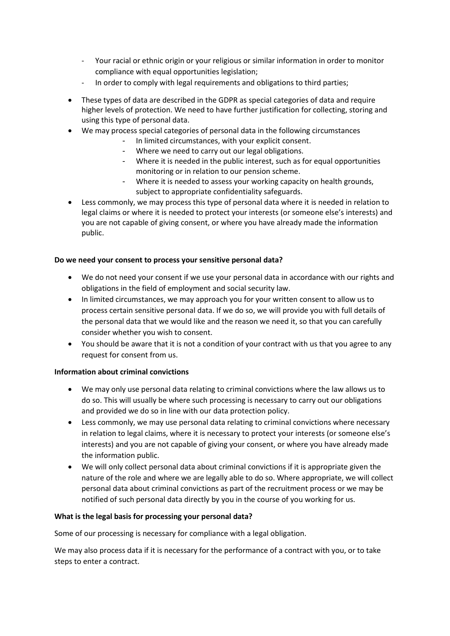- Your racial or ethnic origin or your religious or similar information in order to monitor compliance with equal opportunities legislation;
- In order to comply with legal requirements and obligations to third parties;
- These types of data are described in the GDPR as special categories of data and require higher levels of protection. We need to have further justification for collecting, storing and using this type of personal data.
- We may process special categories of personal data in the following circumstances
	- In limited circumstances, with your explicit consent.
	- Where we need to carry out our legal obligations.
	- Where it is needed in the public interest, such as for equal opportunities monitoring or in relation to our pension scheme.
	- Where it is needed to assess your working capacity on health grounds, subject to appropriate confidentiality safeguards.
- Less commonly, we may process this type of personal data where it is needed in relation to legal claims or where it is needed to protect your interests (or someone else's interests) and you are not capable of giving consent, or where you have already made the information public.

## **Do we need your consent to process your sensitive personal data?**

- We do not need your consent if we use your personal data in accordance with our rights and obligations in the field of employment and social security law.
- In limited circumstances, we may approach you for your written consent to allow us to process certain sensitive personal data. If we do so, we will provide you with full details of the personal data that we would like and the reason we need it, so that you can carefully consider whether you wish to consent.
- You should be aware that it is not a condition of your contract with us that you agree to any request for consent from us.

## **Information about criminal convictions**

- We may only use personal data relating to criminal convictions where the law allows us to do so. This will usually be where such processing is necessary to carry out our obligations and provided we do so in line with our data protection policy.
- Less commonly, we may use personal data relating to criminal convictions where necessary in relation to legal claims, where it is necessary to protect your interests (or someone else's interests) and you are not capable of giving your consent, or where you have already made the information public.
- We will only collect personal data about criminal convictions if it is appropriate given the nature of the role and where we are legally able to do so. Where appropriate, we will collect personal data about criminal convictions as part of the recruitment process or we may be notified of such personal data directly by you in the course of you working for us.

#### **What is the legal basis for processing your personal data?**

Some of our processing is necessary for compliance with a legal obligation.

We may also process data if it is necessary for the performance of a contract with you, or to take steps to enter a contract.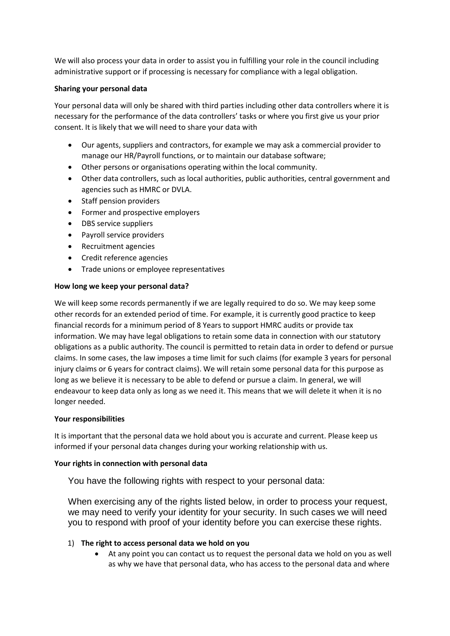We will also process your data in order to assist you in fulfilling your role in the council including administrative support or if processing is necessary for compliance with a legal obligation.

#### **Sharing your personal data**

Your personal data will only be shared with third parties including other data controllers where it is necessary for the performance of the data controllers' tasks or where you first give us your prior consent. It is likely that we will need to share your data with

- Our agents, suppliers and contractors, for example we may ask a commercial provider to manage our HR/Payroll functions, or to maintain our database software;
- Other persons or organisations operating within the local community.
- Other data controllers, such as local authorities, public authorities, central government and agencies such as HMRC or DVLA.
- Staff pension providers
- Former and prospective employers
- DBS service suppliers
- Payroll service providers
- Recruitment agencies
- Credit reference agencies
- Trade unions or employee representatives

### **How long we keep your personal data?**

We will keep some records permanently if we are legally required to do so. We may keep some other records for an extended period of time. For example, it is currently good practice to keep financial records for a minimum period of 8 Years to support HMRC audits or provide tax information. We may have legal obligations to retain some data in connection with our statutory obligations as a public authority. The council is permitted to retain data in order to defend or pursue claims. In some cases, the law imposes a time limit for such claims (for example 3 years for personal injury claims or 6 years for contract claims). We will retain some personal data for this purpose as long as we believe it is necessary to be able to defend or pursue a claim. In general, we will endeavour to keep data only as long as we need it. This means that we will delete it when it is no longer needed.

#### **Your responsibilities**

It is important that the personal data we hold about you is accurate and current. Please keep us informed if your personal data changes during your working relationship with us.

#### **Your rights in connection with personal data**

You have the following rights with respect to your personal data:

When exercising any of the rights listed below, in order to process your request, we may need to verify your identity for your security. In such cases we will need you to respond with proof of your identity before you can exercise these rights.

## 1) **The right to access personal data we hold on you**

• At any point you can contact us to request the personal data we hold on you as well as why we have that personal data, who has access to the personal data and where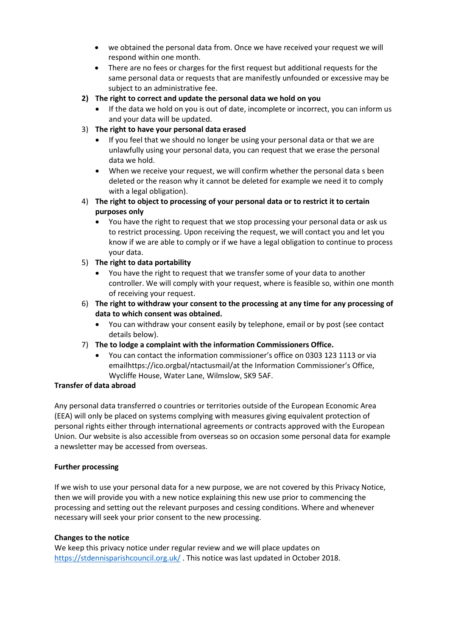- we obtained the personal data from. Once we have received your request we will respond within one month.
- There are no fees or charges for the first request but additional requests for the same personal data or requests that are manifestly unfounded or excessive may be subject to an administrative fee.
- **2) The right to correct and update the personal data we hold on you**
	- If the data we hold on you is out of date, incomplete or incorrect, you can inform us and your data will be updated.
- 3) **The right to have your personal data erased**
	- If you feel that we should no longer be using your personal data or that we are unlawfully using your personal data, you can request that we erase the personal data we hold.
	- When we receive your request, we will confirm whether the personal data s been deleted or the reason why it cannot be deleted for example we need it to comply with a legal obligation).
- 4) **The right to object to processing of your personal data or to restrict it to certain purposes only**
	- You have the right to request that we stop processing your personal data or ask us to restrict processing. Upon receiving the request, we will contact you and let you know if we are able to comply or if we have a legal obligation to continue to process your data.
- 5) **The right to data portability**
	- You have the right to request that we transfer some of your data to another controller. We will comply with your request, where is feasible so, within one month of receiving your request.
- 6) **The right to withdraw your consent to the processing at any time for any processing of data to which consent was obtained.**
	- You can withdraw your consent easily by telephone, email or by post (see contact details below).
- 7) **The to lodge a complaint with the information Commissioners Office.**
	- You can contact the information commissioner's office on 0303 123 1113 or via emailhttps://ico.orgbal/ntactusmail/at the Information Commissioner's Office, Wycliffe House, Water Lane, Wilmslow, SK9 5AF.

## **Transfer of data abroad**

Any personal data transferred o countries or territories outside of the European Economic Area (EEA) will only be placed on systems complying with measures giving equivalent protection of personal rights either through international agreements or contracts approved with the European Union. Our website is also accessible from overseas so on occasion some personal data for example a newsletter may be accessed from overseas.

## **Further processing**

If we wish to use your personal data for a new purpose, we are not covered by this Privacy Notice, then we will provide you with a new notice explaining this new use prior to commencing the processing and setting out the relevant purposes and cessing conditions. Where and whenever necessary will seek your prior consent to the new processing.

## **Changes to the notice**

We keep this privacy notice under regular review and we will place updates on <https://stdennisparishcouncil.org.uk/> . This notice was last updated in October 2018.